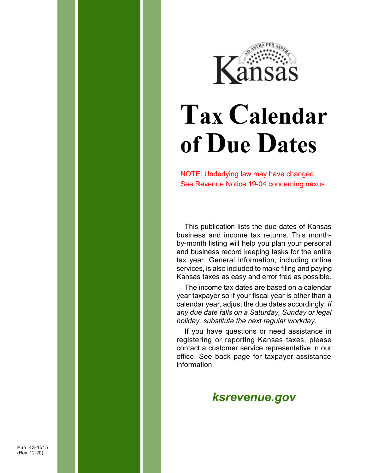

# **Tax Calendar of Due Dates**

NOTE: Underlying law may have changed. See Revenue Notice 19-04 concerning nexus.

This publication lists the due dates of Kansas business and income tax returns. This monthby-month listing will help you plan your personal and business record keeping tasks for the entire tax year. General information, including online services, is also included to make filing and paying Kansas taxes as easy and error free as possible.

The income tax dates are based on a calendar year taxpayer so if your fiscal year is other than a calendar year, adjust the due dates accordingly. *If any due date falls on a Saturday, Sunday or legal holiday, substitute the next regular workday*.

If you have questions or need assistance in registering or reporting Kansas taxes, please contact a customer service representative in our office. See back page for taxpayer assistance information.

#### *[ksrevenue.](https://ksrevenue.gov)gov*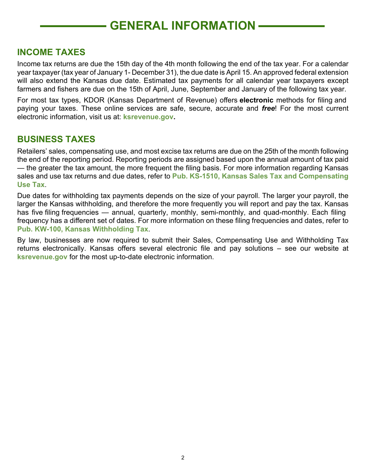#### **GENERAL INFORMATION**

#### **INCOME TAXES**

Income tax returns are due the 15th day of the 4th month following the end of the tax year. For a calendar year taxpayer (tax year of January 1- December 31), the due date is April 15. An approved federal extension will also extend the Kansas due date. Estimated tax payments for all calendar year taxpayers except farmers and fishers are due on the 15th of April, June, September and January of the following tax year.

For most tax types, KDOR (Kansas Department of Revenue) offers **electronic** methods for filing and paying your taxes. These online services are safe, secure, accurate and *free*! For the most current electronic information, visit us at: **[ksrevenue.gov](https://ksrevenue.gov).** 

#### **BUSINESS TAXES**

Retailers' sales, compensating use, and most excise tax returns are due on the 25th of the month following the end of the reporting period. Reporting periods are assigned based upon the annual amount of tax paid — the greater the tax amount, the more frequent the filing basis. For more information regarding Kansas sales and use tax returns and due dates, refer to **Pub. KS-1510, Kansas Sales Tax and Compensating Use Tax**.

Due dates for withholding tax payments depends on the size of your payroll. The larger your payroll, the larger the Kansas withholding, and therefore the more frequently you will report and pay the tax. Kansas has five filing frequencies — annual, quarterly, monthly, semi-monthly, and quad-monthly. Each filing frequency has a different set of dates. For more information on these filing frequencies and dates, refer to **Pub. KW-100, Kansas Withholding Tax**.

By law, businesses are now required to submit their Sales, Compensating Use and Withholding Tax returns electronically. Kansas offers several electronic file and pay solutions – see our website at **[ksrevenue.gov](https://ksrevenue.gov)** for the most up-to-date electronic information.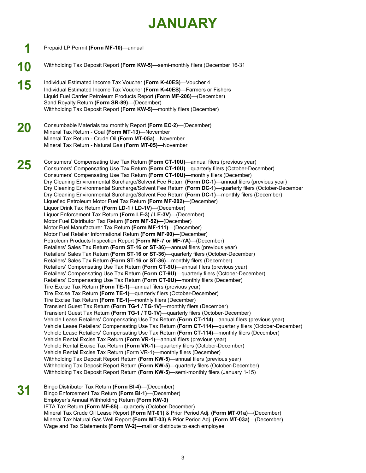### **JANUARY**

- **1 10 15 20 25**  Prepaid LP Permit **(Form MF-10)**—annual Withholding Tax Deposit Report **(Form KW-5)**—semi-monthly filers (December 16-31 Individual Estimated Income Tax Voucher **(Form K-40ES)**—Voucher 4 Individual Estimated Income Tax Voucher **(Form K-40ES)**—Farmers or Fishers Liquid Fuel Carrier Petroleum Products Report **(Form MF-206)**—(December) Sand Royalty Return **(Form SR-89)**—(December) Withholding Tax Deposit Report **(Form KW-5)**—monthly filers (December) Consumbable Materials tax monthly Report **(Form EC-2)**—(December) Mineral Tax Return - Coal **(Form MT-13)**—November Mineral Tax Return - Crude Oil **(Form MT-05a)**—November Mineral Tax Return - Natural Gas **(Form MT-05)**—November Consumers' Compensating Use Tax Return **(Form CT-10U)**—annual filers (previous year) Consumers' Compensating Use Tax Return **(Form CT-10U)**—quarterly filers (October-December) Consumers' Compensating Use Tax Return **(Form CT-10U)**—monthly filers (December) Dry Cleaning Environmental Surcharge/Solvent Fee Return **(Form DC-1)**—annual filers (previous year) Dry Cleaning Environmental Surcharge/Solvent Fee Return **(Form DC-1)**—quarterly filers (October-December Dry Cleaning Environmental Surcharge/Solvent Fee Return **(Form DC-1)**—monthly filers (December) Liquefied Petroleum Motor Fuel Tax Return **(Form MF-202)**—(December) Liquor Drink Tax Return **(Form LD-1 / LD-1V)**—(December) Liquor Enforcement Tax Return **(Form LE-3) / LE-3V)**—(December) Motor Fuel Distributor Tax Return **(Form MF-52)**—(December) Motor Fuel Manufacturer Tax Return **(Form MF-111)**—(December) Motor Fuel Retailer Informational Return **(Form MF-90)**—(December) Petroleum Products Inspection Report **(Form MF-7 or MF-7A)**—(December) Retailers' Sales Tax Return **(Form ST-16 or ST-36)**—annual filers (previous year) Retailers' Sales Tax Return **(Form ST-16 or ST-36)**—quarterly filers (October-December) Retailers' Sales Tax Return **(Form ST-16 or ST-36)**—monthly filers (December) Retailers' Compensating Use Tax Return **(Form CT-9U)**—annual filers (previous year) Retailers' Compensating Use Tax Return **(Form CT-9U)**—quarterly filers (October-December) Retailers' Compensating Use Tax Return **(Form CT-9U)**—monthly filers (December) Tire Excise Tax Return **(Form TE-1)**—annual filers (previous year) Tire Excise Tax Return **(Form TE-1)**—quarterly filers (October-December) Tire Excise Tax Return **(Form TE-1)**—monthly filers (December) Transient Guest Tax Return **(Form TG-1 / TG-1V)**—monthly filers (December) Transient Guest Tax Return **(Form TG-1 / TG-1V)**—quarterly filers (October-December) Vehicle Lease Retailers' Compensating Use Tax Return **(Form CT-114)**—annual filers (previous year) Vehicle Lease Retailers' Compensating Use Tax Return **(Form CT-114)**—quarterly filers (October-December) Vehicle Lease Retailers' Compensating Use Tax Return **(Form CT-114)**—monthly filers (December) Vehicle Rental Excise Tax Return **(Form VR-1)**—annual filers (previous year) Vehicle Rental Excise Tax Return **(Form VR-1)**—quarterly filers (October-December) Vehicle Rental Excise Tax Return (Form VR-1)—monthly filers (December) Withholding Tax Deposit Report Return **(Form KW-5)**—annual filers (previous year) Withholding Tax Deposit Report Return **(Form KW-5)**—quarterly filers (October-December) Withholding Tax Deposit Report Return **(Form KW-5)**—semi-monthly filers (January 1-15) Bingo Distributor Tax Return **(Form BI-4)**—(December) Bingo Enforcement Tax Return **(Form BI-1)**—(December) Employer's Annual Withholding Return **(Form KW-3)**  IFTA Tax Return **(Form MF-85)**—quarterly (October-December) Mineral Tax Crude Oil Lease Report **(Form MT-01)** & Prior Period Adj. **(Form MT-01a)**—(December) Mineral Tax Natural Gas Well Report **(Form MT-03)** & Prior Period Adj. **(Form MT-03a)**—(December) **31** 
	- Wage and Tax Statements **(Form W-2)**—mail or distribute to each employee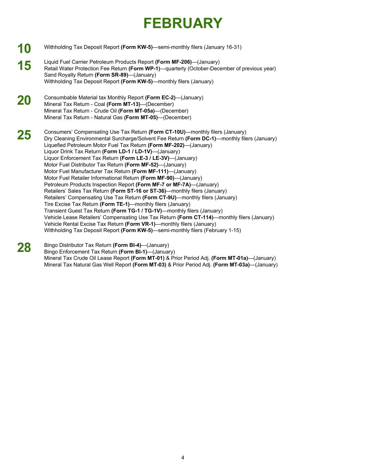## **FEBRUARY**

- **10**  Withholding Tax Deposit Report **(Form KW-5)**—semi-monthly filers (January 16-31)
- **15**  Liquid Fuel Carrier Petroleum Products Report **(Form MF-206)**—(January) Retail Water Protection Fee Return **(Form WP-1)**—quarterly (October-December of previous year) Sand Royalty Return **(Form SR-89)**—(January) Withholding Tax Deposit Report **(Form KW-5)**—monthly filers (January)
- **20**  Consumbable Material tax Monthly Report **(Form EC-2)**—(January) Mineral Tax Return - Coal **(Form MT-13)**—(December) Mineral Tax Return - Crude Oil **(Form MT-05a)**—(December) Mineral Tax Return - Natural Gas **(Form MT-05)**—(December)

**25**  Consumers' Compensating Use Tax Return **(Form CT-10U)**—monthly filers (January) Dry Cleaning Environmental Surcharge/Solvent Fee Return **(Form DC-1)**—monthly filers (January) Liquefied Petroleum Motor Fuel Tax Return **(Form MF-202)**—(January) Liquor Drink Tax Return **(Form LD-1 / LD-1V)**—(January) Liquor Enforcement Tax Return **(Form LE-3 / LE-3V)**—(January) Motor Fuel Distributor Tax Return **(Form MF-52)**—(January) Motor Fuel Manufacturer Tax Return **(Form MF-111)**—(January) Motor Fuel Retailer Informational Return **(Form MF-90)**—(January) Petroleum Products Inspection Report **(Form MF-7 or MF-7A)**—(January) Retailers' Sales Tax Return **(Form ST-16 or ST-36)**—monthly filers (January) Retailers' Compensating Use Tax Return **(Form CT-9U)**—monthly filers (January) Tire Excise Tax Return **(Form TE-1)**—monthly filers (January) Transient Guest Tax Return **(Form TG-1 / TG-1V)**—monthly filers (January) Vehicle Lease Retailers' Compensating Use Tax Return **(Form CT-114)**—monthly filers (January) Vehicle Rental Excise Tax Return **(Form VR-1)**—monthly filers (January) Withholding Tax Deposit Report **(Form KW-5)**—semi-monthly filers (February 1-15)

| 28 | Bingo Distributor Tax Return (Form BI-4)—(January)                                           |
|----|----------------------------------------------------------------------------------------------|
|    | Bingo Enforcement Tax Return (Form BI-1)—(January)                                           |
|    | Mineral Tax Crude Oil Lease Report (Form MT-01) & Prior Period Adj. (Form MT-01a)—(January)  |
|    | Mineral Tax Natural Gas Well Report (Form MT-03) & Prior Period Adj. (Form MT-03a)—(January) |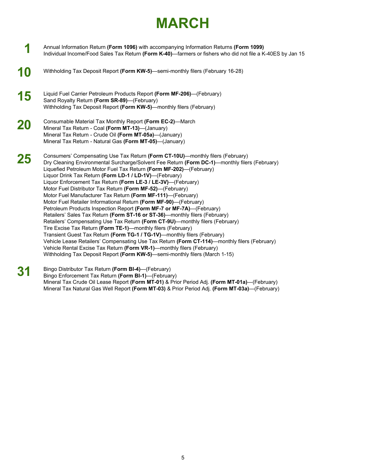#### **MARCH**

- **1**  Annual Information Return **(Form 1096)** with accompanying Information Returns **(Form 1099)**  Individual Income/Food Sales Tax Return **(Form K-40)**—farmers or fishers who did not file a K-40ES by Jan 15
- **10**  Withholding Tax Deposit Report **(Form KW-5)**—semi-monthly filers (February 16-28)
- **15**  Liquid Fuel Carrier Petroleum Products Report **(Form MF-206)**—(February) Sand Royalty Return **(Form SR-89)**—(February) Withholding Tax Deposit Report **(Form KW-5)**—monthly filers (February)
- **20**  Consumable Material Tax Monthly Report **(Form EC-2)**—March Mineral Tax Return - Coal **(Form MT-13)**—(January) Mineral Tax Return - Crude Oil **(Form MT-05a)**—(January) Mineral Tax Return - Natural Gas **(Form MT-05)**—(January)
- **25**  Consumers' Compensating Use Tax Return **(Form CT-10U)**—monthly filers (February) Dry Cleaning Environmental Surcharge/Solvent Fee Return **(Form DC-1)**—monthly filers (February) Liquefied Petroleum Motor Fuel Tax Return **(Form MF-202)**—(February) Liquor Drink Tax Return **(Form LD-1 / LD-1V)**—(February) Liquor Enforcement Tax Return **(Form LE-3 / LE-3V)**—(February) Motor Fuel Distributor Tax Return **(Form MF-52)**—(February) Motor Fuel Manufacturer Tax Return **(Form MF-111)**—(February) Motor Fuel Retailer Informational Return **(Form MF-90)**—(February) Petroleum Products Inspection Report **(Form MF-7 or MF-7A)**—(February) Retailers' Sales Tax Return **(Form ST-16 or ST-36)**—monthly filers (February) Retailers' Compensating Use Tax Return **(Form CT-9U)**—monthly filers (February) Tire Excise Tax Return **(Form TE-1)**—monthly filers (February) Transient Guest Tax Return **(Form TG-1 / TG-1V)**—monthly filers (February) Vehicle Lease Retailers' Compensating Use Tax Return **(Form CT-114)**—monthly filers (February) Vehicle Rental Excise Tax Return **(Form VR-1)**—monthly filers (February) Withholding Tax Deposit Report **(Form KW-5)**—semi-monthly filers (March 1-15)
- **31**  Bingo Distributor Tax Return **(Form BI-4)**—(February) Bingo Enforcement Tax Return **(Form BI-1)**—(February) Mineral Tax Crude Oil Lease Report **(Form MT-01)** & Prior Period Adj. **(Form MT-01a)**—(February) Mineral Tax Natural Gas Well Report **(Form MT-03)** & Prior Period Adj. **(Form MT-03a)**—(February)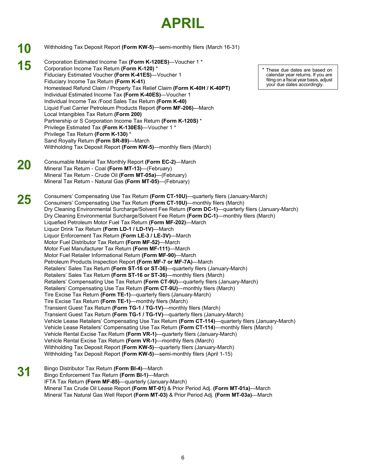#### **APRIL**

|           | Withholding Tax Deposit Report (Form KW-5)—semi-monthly filers (March 16-31)                                                                                                                                                                                                                                                                                                                                                                                                                                                                                                                                                                                                                                                                                                                                                                                                                                                                                                                                                                                                                                                                                                                                                                                                                                                                                                                                                                                                                                                                                                                                                                                                                                                                                                                                                                                                                                                                                                      |                                                                                                                                             |
|-----------|-----------------------------------------------------------------------------------------------------------------------------------------------------------------------------------------------------------------------------------------------------------------------------------------------------------------------------------------------------------------------------------------------------------------------------------------------------------------------------------------------------------------------------------------------------------------------------------------------------------------------------------------------------------------------------------------------------------------------------------------------------------------------------------------------------------------------------------------------------------------------------------------------------------------------------------------------------------------------------------------------------------------------------------------------------------------------------------------------------------------------------------------------------------------------------------------------------------------------------------------------------------------------------------------------------------------------------------------------------------------------------------------------------------------------------------------------------------------------------------------------------------------------------------------------------------------------------------------------------------------------------------------------------------------------------------------------------------------------------------------------------------------------------------------------------------------------------------------------------------------------------------------------------------------------------------------------------------------------------------|---------------------------------------------------------------------------------------------------------------------------------------------|
| 15        | Corporation Estimated Income Tax (Form K-120ES)-Voucher 1 *<br>Corporation Income Tax Return (Form K-120) *<br>Fiduciary Estimated Voucher (Form K-41ES)-Voucher 1<br>Fiduciary Income Tax Return (Form K-41)<br>Homestead Refund Claim / Property Tax Relief Claim (Form K-40H / K-40PT)<br>Individual Estimated Income Tax (Form K-40ES)-Voucher 1<br>Individual Income Tax /Food Sales Tax Return (Form K-40)<br>Liquid Fuel Carrier Petroleum Products Report (Form MF-206)-March<br>Local Intangibles Tax Return (Form 200)<br>Partnership or S Corporation Income Tax Return (Form K-120S) *<br>Privilege Estimated Tax (Form K-130ES)-Voucher 1 *<br>Privilege Tax Return (Form K-130) *<br>Sand Royalty Return (Form SR-89)-March<br>Withholding Tax Deposit Report (Form KW-5)—monthly filers (March)                                                                                                                                                                                                                                                                                                                                                                                                                                                                                                                                                                                                                                                                                                                                                                                                                                                                                                                                                                                                                                                                                                                                                                    | * These due dates are based on<br>calendar year returns. If you are<br>filing on a fiscal year basis, adjust<br>your due dates accordingly. |
| 20        | Consumable Material Tax Monthly Report (Form EC-2)-March<br>Mineral Tax Return - Coal (Form MT-13)-(February)<br>Mineral Tax Return - Crude Oil (Form MT-05a)—(February)<br>Mineral Tax Return - Natural Gas (Form MT-05)-(February)                                                                                                                                                                                                                                                                                                                                                                                                                                                                                                                                                                                                                                                                                                                                                                                                                                                                                                                                                                                                                                                                                                                                                                                                                                                                                                                                                                                                                                                                                                                                                                                                                                                                                                                                              |                                                                                                                                             |
| <b>25</b> | Consumers' Compensating Use Tax Return (Form CT-10U)—quarterly filers (January-March)<br>Consumers' Compensating Use Tax Return (Form CT-10U)—monthly filers (March)<br>Dry Cleaning Environmental Surcharge/Solvent Fee Return (Form DC-1)—quarterly filers (January-March)<br>Dry Cleaning Environmental Surcharge/Solvent Fee Return (Form DC-1)—monthly filers (March)<br>Liquefied Petroleum Motor Fuel Tax Return (Form MF-202)-March<br>Liquor Drink Tax Return (Form LD-1 / LD-1V)-March<br>Liquor Enforcement Tax Return (Form LE-3 / LE-3V)-March<br>Motor Fuel Distributor Tax Return (Form MF-52)-March<br>Motor Fuel Manufacturer Tax Return (Form MF-111)-March<br>Motor Fuel Retailer Informational Return (Form MF-90)-March<br>Petroleum Products Inspection Report (Form MF-7 or MF-7A)-March<br>Retailers' Sales Tax Return (Form ST-16 or ST-36)—quarterly filers (January-March)<br>Retailers' Sales Tax Return (Form ST-16 or ST-36)-monthly filers (March)<br>Retailers' Compensating Use Tax Return (Form CT-9U)—quarterly filers (January-March)<br>Retailers' Compensating Use Tax Return (Form CT-9U)-monthly filers (March)<br>Tire Excise Tax Return (Form TE-1)—quarterly filers (January-March)<br>Tire Excise Tax Return (Form TE-1)-monthly filers (March)<br>Transient Guest Tax Return (Form TG-1 / TG-1V)—monthly filers (March)<br>Transient Guest Tax Return (Form TG-1 / TG-1V)—quarterly filers (January-March)<br>Vehicle Lease Retailers' Compensating Use Tax Return (Form CT-114)—quarterly filers (January-March)<br>Vehicle Lease Retailers' Compensating Use Tax Return (Form CT-114)—monthly filers (March)<br>Vehicle Rental Excise Tax Return (Form VR-1)—quarterly filers (January-March)<br>Vehicle Rental Excise Tax Return (Form VR-1)-monthly filers (March)<br>Withholding Tax Deposit Report (Form KW-5)—quarterly filers (January-March)<br>Withholding Tax Deposit Report (Form KW-5)-semi-monthly filers (April 1-15) |                                                                                                                                             |
|           | Bingo Distributor Tax Return (Form BI-4)-March<br>Bingo Enforcement Tax Return (Form BI-1)-March<br>IFTA Tax Return (Form MF-85)-quarterly (January-March)<br>Mineral Tax Crude Oil Lease Report (Form MT-01) & Prior Period Adj. (Form MT-01a)—March                                                                                                                                                                                                                                                                                                                                                                                                                                                                                                                                                                                                                                                                                                                                                                                                                                                                                                                                                                                                                                                                                                                                                                                                                                                                                                                                                                                                                                                                                                                                                                                                                                                                                                                             |                                                                                                                                             |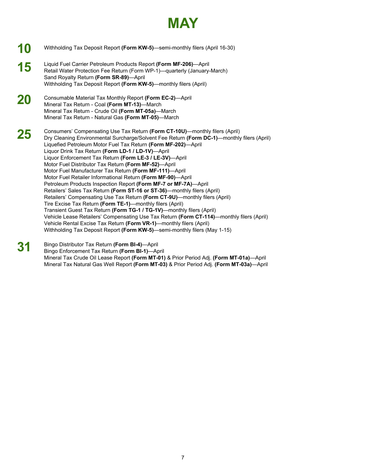

- **10**  Withholding Tax Deposit Report **(Form KW-5)**—semi-monthly filers (April 16-30)
- **15**  Liquid Fuel Carrier Petroleum Products Report **(Form MF-206)**—April Retail Water Protection Fee Return (Form WP-1)—quarterly (January-March) Sand Royalty Return **(Form SR-89)**—April Withholding Tax Deposit Report **(Form KW-5)**—monthly filers (April)
- **20**  Consumable Material Tax Monthly Report **(Form EC-2)**—April Mineral Tax Return - Coal **(Form MT-13)**—March Mineral Tax Return - Crude Oil **(Form MT-05a)**—March Mineral Tax Return - Natural Gas **(Form MT-05)**—March

**25**  Consumers' Compensating Use Tax Return **(Form CT-10U)**—monthly filers (April) Dry Cleaning Environmental Surcharge/Solvent Fee Return **(Form DC-1)**—monthly filers (April) Liquefied Petroleum Motor Fuel Tax Return **(Form MF-202)**—April Liquor Drink Tax Return **(Form LD-1 / LD-1V)**—April Liquor Enforcement Tax Return **(Form LE-3 / LE-3V)**—April Motor Fuel Distributor Tax Return **(Form MF-52)**—April Motor Fuel Manufacturer Tax Return **(Form MF-111)**—April Motor Fuel Retailer Informational Return **(Form MF-90)**—April Petroleum Products Inspection Report **(Form MF-7 or MF-7A)**—April Retailers' Sales Tax Return **(Form ST-16 or ST-36)**—monthly filers (April) Retailers' Compensating Use Tax Return **(Form CT-9U)**—monthly filers (April) Tire Excise Tax Return **(Form TE-1)**—monthly filers (April) Transient Guest Tax Return **(Form TG-1 / TG-1V)**—monthly filers (April) Vehicle Lease Retailers' Compensating Use Tax Return **(Form CT-114)**—monthly filers (April) Vehicle Rental Excise Tax Return **(Form VR-1)**—monthly filers (April) Withholding Tax Deposit Report **(Form KW-5)**—semi-monthly filers (May 1-15)

**31**  Bingo Distributor Tax Return **(Form BI-4)**—April Bingo Enforcement Tax Return **(Form BI-1)**—April Mineral Tax Crude Oil Lease Report **(Form MT-01)** & Prior Period Adj. **(Form MT-01a)**—April Mineral Tax Natural Gas Well Report **(Form MT-03)** & Prior Period Adj. **(Form MT-03a)**—April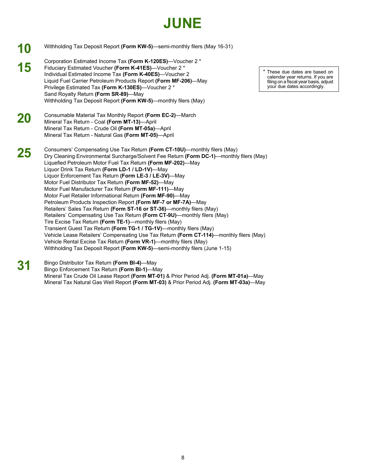#### **JUNE**

- **31 10** Withholding Tax Deposit Report **(Form KW-5)**—semi-monthly filers (May 16-31) Corporation Estimated Income Tax **(Form K-120ES)**—Voucher 2 \* **15** Fiduciary Estimated Voucher **(Form K-41ES)**—Voucher 2 \* Individual Estimated Income Tax **(Form K-40ES)**—Voucher 2 Liquid Fuel Carrier Petroleum Products Report **(Form MF-206)**—May Privilege Estimated Tax **(Form K-130ES)**—Voucher 2 \* Sand Royalty Return **(Form SR-89)**—May Withholding Tax Deposit Report **(Form KW-5)**—monthly filers (May) **20** Consumable Material Tax Monthly Report **(Form EC-2)**—March Mineral Tax Return - Coal **(Form MT-13)**—April Mineral Tax Return - Crude Oil **(Form MT-05a)**—April Mineral Tax Return - Natural Gas **(Form MT-05)**—April **25** Consumers' Compensating Use Tax Return **(Form CT-10U)**—monthly filers (May) Dry Cleaning Environmental Surcharge/Solvent Fee Return **(Form DC-1)**—monthly filers (May) Liquefied Petroleum Motor Fuel Tax Return **(Form MF-202)**—May Liquor Drink Tax Return **(Form LD-1 / LD-1V)**—May Liquor Enforcement Tax Return **(Form LE-3 / LE-3V)**—May Motor Fuel Distributor Tax Return **(Form MF-52)**—May Motor Fuel Manufacturer Tax Return **(Form MF-111)**—May Motor Fuel Retailer Informational Return **(Form MF-90)**—May Petroleum Products Inspection Report **(Form MF-7 or MF-7A)**—May Retailers' Sales Tax Return **(Form ST-16 or ST-36)**—monthly filers (May) Retailers' Compensating Use Tax Return **(Form CT-9U)**—monthly filers (May) Tire Excise Tax Return **(Form TE-1)**—monthly filers (May) Transient Guest Tax Return **(Form TG-1 / TG-1V)**—monthly filers (May) Vehicle Lease Retailers' Compensating Use Tax Return **(Form CT-114)**—monthly filers (May) Vehicle Rental Excise Tax Return **(Form VR-1)**—monthly filers (May) Withholding Tax Deposit Report **(Form KW-5)**—semi-monthly filers (June 1-15) Bingo Distributor Tax Return **(Form BI-4)**—May
	- Bingo Enforcement Tax Return **(Form BI-1)**—May Mineral Tax Crude Oil Lease Report **(Form MT-01)** & Prior Period Adj. **(Form MT-01a)**—May Mineral Tax Natural Gas Well Report **(Form MT-03)** & Prior Period Adj. **(Form MT-03a)**—May

 filing on a fiscal year basis, adjust These due dates are based on calendar year returns. If you are your due dates accordingly.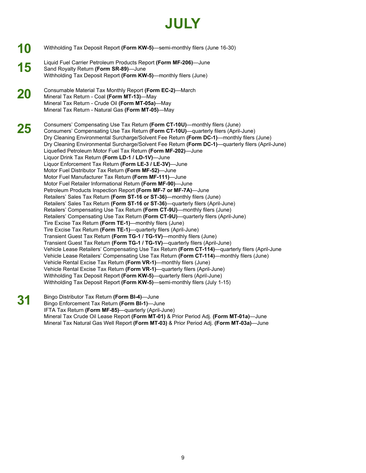#### **JULY**

**10 15 20 25 31**  Withholding Tax Deposit Report **(Form KW-5)**—semi-monthly filers (June 16-30) Liquid Fuel Carrier Petroleum Products Report **(Form MF-206)**—June Sand Royalty Return **(Form SR-89)**—June Withholding Tax Deposit Report **(Form KW-5)**—monthly filers (June) Consumable Material Tax Monthly Report **(Form EC-2)**—March Mineral Tax Return - Coal **(Form MT-13)**—May Mineral Tax Return - Crude Oil **(Form MT-05a)**—May Mineral Tax Return - Natural Gas **(Form MT-05)**—May Consumers' Compensating Use Tax Return **(Form CT-10U)**—monthly filers (June) Consumers' Compensating Use Tax Return **(Form CT-10U)**—quarterly filers (April-June) Dry Cleaning Environmental Surcharge/Solvent Fee Return **(Form DC-1)**—monthly filers (June) Dry Cleaning Environmental Surcharge/Solvent Fee Return **(Form DC-1)**—quarterly filers (April-June) Liquefied Petroleum Motor Fuel Tax Return **(Form MF-202)**—June Liquor Drink Tax Return **(Form LD-1 / LD-1V)**—June Liquor Enforcement Tax Return **(Form LE-3 / LE-3V)**—June Motor Fuel Distributor Tax Return **(Form MF-52)**—June Motor Fuel Manufacturer Tax Return **(Form MF-111)**—June Motor Fuel Retailer Informational Return **(Form MF-90)**—June Petroleum Products Inspection Report **(Form MF-7 or MF-7A)**—June Retailers' Sales Tax Return **(Form ST-16 or ST-36)**—monthly filers (June) Retailers' Sales Tax Return **(Form ST-16 or ST-36)**—quarterly filers (April-June) Retailers' Compensating Use Tax Return **(Form CT-9U)**—monthly filers (June) Retailers' Compensating Use Tax Return **(Form CT-9U)**—quarterly filers (April-June) Tire Excise Tax Return **(Form TE-1)**—monthly filers (June) Tire Excise Tax Return **(Form TE-1)**—quarterly filers (April-June) Transient Guest Tax Return **(Form TG-1 / TG-1V)**—monthly filers (June) Transient Guest Tax Return **(Form TG-1 / TG-1V)**—quarterly filers (April-June) Vehicle Lease Retailers' Compensating Use Tax Return **(Form CT-114)**—quarterly filers (April-June Vehicle Lease Retailers' Compensating Use Tax Return **(Form CT-114)**—monthly filers (June) Vehicle Rental Excise Tax Return **(Form VR-1)**—monthly filers (June) Vehicle Rental Excise Tax Return **(Form VR-1)**—quarterly filers (April-June) Withholding Tax Deposit Report **(Form KW-5)**—quarterly filers (April-June) Withholding Tax Deposit Report **(Form KW-5)**—semi-monthly filers (July 1-15) Bingo Distributor Tax Return **(Form BI-4)**—June Bingo Enforcement Tax Return **(Form BI-1)**—June IFTA Tax Return **(Form MF-85)**—quarterly (April-June)

> Mineral Tax Crude Oil Lease Report **(Form MT-01)** & Prior Period Adj. **(Form MT-01a)**—June Mineral Tax Natural Gas Well Report **(Form MT-03)** & Prior Period Adj. **(Form MT-03a)**—June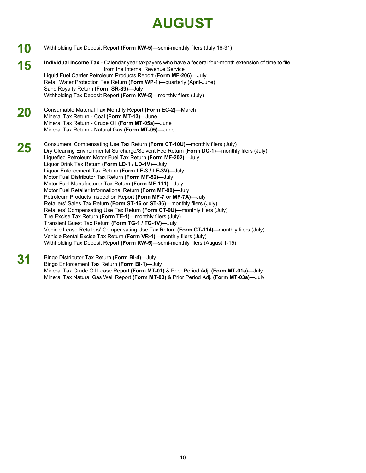## **AUGUST**

- **10 15 20 25 31**  Withholding Tax Deposit Report **(Form KW-5)**—semi-monthly filers (July 16-31) **Individual Income Tax** - Calendar year taxpayers who have a federal four-month extension of time to file from the Internal Revenue Service Liquid Fuel Carrier Petroleum Products Report **(Form MF-206)**—July Retail Water Protection Fee Return **(Form WP-1)**—quarterly (April-June) Sand Royalty Return **(Form SR-89)**—July Withholding Tax Deposit Report **(Form KW-5)**—monthly filers (July) Consumable Material Tax Monthly Report **(Form EC-2)**—March Mineral Tax Return - Coal **(Form MT-13)**—June Mineral Tax Return - Crude Oil **(Form MT-05a)**—June Mineral Tax Return - Natural Gas **(Form MT-05)**—June Consumers' Compensating Use Tax Return **(Form CT-10U)**—monthly filers (July) Dry Cleaning Environmental Surcharge/Solvent Fee Return **(Form DC-1)**—monthly filers (July) Liquefied Petroleum Motor Fuel Tax Return **(Form MF-202)**—July Liquor Drink Tax Return **(Form LD-1 / LD-1V)**—July Liquor Enforcement Tax Return **(Form LE-3 / LE-3V)**—July Motor Fuel Distributor Tax Return **(Form MF-52)**—July Motor Fuel Manufacturer Tax Return **(Form MF-111)**—July Motor Fuel Retailer Informational Return **(Form MF-90)**—July Petroleum Products Inspection Report **(Form MF-7 or MF-7A)**—July Retailers' Sales Tax Return **(Form ST-16 or ST-36)**—monthly filers (July) Retailers' Compensating Use Tax Return **(Form CT-9U)**—monthly filers (July) Tire Excise Tax Return **(Form TE-1)**—monthly filers (July) Transient Guest Tax Return **(Form TG-1 / TG-1V)**—July Vehicle Lease Retailers' Compensating Use Tax Return **(Form CT-114)**—monthly filers (July) Vehicle Rental Excise Tax Return **(Form VR-1)**—monthly filers (July) Withholding Tax Deposit Report **(Form KW-5)**—semi-monthly filers (August 1-15) Bingo Distributor Tax Return **(Form BI-4)**—July
	- Bingo Enforcement Tax Return **(Form BI-1)**—July Mineral Tax Crude Oil Lease Report **(Form MT-01)** & Prior Period Adj. **(Form MT-01a)**—July Mineral Tax Natural Gas Well Report **(Form MT-03)** & Prior Period Adj. **(Form MT-03a)**—July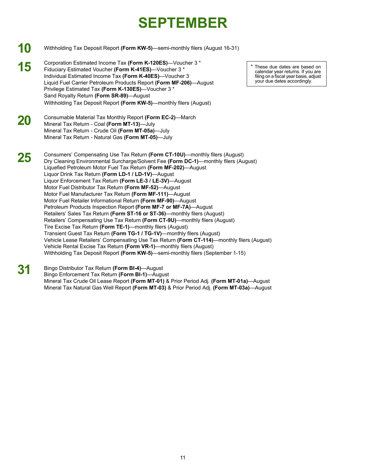## **SEPTEMBER**

- **10** Withholding Tax Deposit Report **(Form KW-5)**—semi-monthly filers (August 16-31)
- Corporation Estimated Income Tax (Form K-120ES)—Voucher 3 \*<br>Fiduciary Estimated Voucher (Form K-41ES)—Voucher 3 \*<br>Individual Estimated Income Tax (Form K-40ES)—Voucher 3 \*<br>Individual Estimated Income Tax (Form K-40ES)—Vouc Liquid Fuel Carrier Petroleum Products Report (Form MF-206)—August Privilege Estimated Tax **(Form K-130ES)**—Voucher 3 \* Sand Royalty Return **(Form SR-89)**—August Withholding Tax Deposit Report **(Form KW-5)**—monthly filers (August)
- **20** Consumable Material Tax Monthly Report **(Form EC-2)**—March Mineral Tax Return - Coal **(Form MT-13)**—July Mineral Tax Return - Crude Oil **(Form MT-05a)**—July Mineral Tax Return - Natural Gas **(Form MT-05)**—July
- **25** Consumers' Compensating Use Tax Return **(Form CT-10U)**—monthly filers (August) Dry Cleaning Environmental Surcharge/Solvent Fee **(Form DC-1)**—monthly filers (August) Liquefied Petroleum Motor Fuel Tax Return **(Form MF-202)**—August Liquor Drink Tax Return **(Form LD-1 / LD-1V)**—August Liquor Enforcement Tax Return **(Form LE-3 / LE-3V)**—August Motor Fuel Distributor Tax Return **(Form MF-52)**—August Motor Fuel Manufacturer Tax Return **(Form MF-111)**—August Motor Fuel Retailer Informational Return **(Form MF-90)**—August Petroleum Products Inspection Report **(Form MF-7 or MF-7A)**—August Retailers' Sales Tax Return **(Form ST-16 or ST-36)**—monthly filers (August) Retailers' Compensating Use Tax Return **(Form CT-9U)**—monthly filers (August) Tire Excise Tax Return **(Form TE-1)**—monthly filers (August) Transient Guest Tax Return **(Form TG-1 / TG-1V)**—monthly filers (August) Vehicle Lease Retailers' Compensating Use Tax Return **(Form CT-114)**—monthly filers (August) Vehicle Rental Excise Tax Return **(Form VR-1)**—monthly filers (August) Withholding Tax Deposit Report **(Form KW-5)**—semi-monthly filers (September 1-15)
- **31** Bingo Distributor Tax Return **(Form BI-4)**—August Bingo Enforcement Tax Return **(Form BI-1)**—August Mineral Tax Crude Oil Lease Report **(Form MT-01)** & Prior Period Adj. **(Form MT-01a)**—August Mineral Tax Natural Gas Well Report **(Form MT-03)** & Prior Period Adj. **(Form MT-03a)**—August

calendar year returns. If you are<br>filing on a fiscal year basis, adjust<br>your due dates accordingly.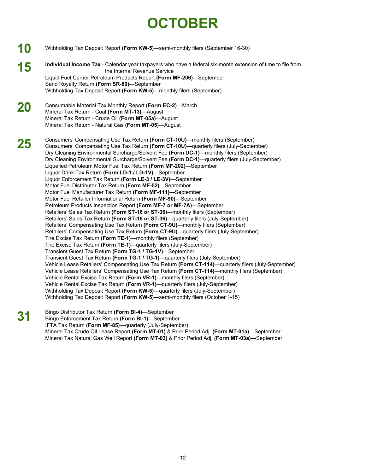## **OCTOBER**

- **10 15 20 25 31**  Withholding Tax Deposit Report **(Form KW-5)**—semi-monthly filers (September 16-30) **Individual Income Tax** - Calendar year taxpayers who have a federal six-month extension of time to file from the Internal Revenue Service Liquid Fuel Carrier Petroleum Products Report **(Form MF-206)**—September Sand Royalty Return **(Form SR-89)**—September Withholding Tax Deposit Report **(Form KW-5)**—monthly filers (September) Consumable Material Tax Monthly Report **(Form EC-2)**—March Mineral Tax Return - Coal **(Form MT-13)**—August Mineral Tax Return - Crude Oil **(Form MT-05a)**—August Mineral Tax Return - Natural Gas **(Form MT-05)**—August Consumers' Compensating Use Tax Return **(Form CT-10U)**—monthly filers (September) Consumers' Compensating Use Tax Return **(Form CT-10U)**—quarterly filers (July-September) Dry Cleaning Environmental Surcharge/Solvent Fee **(Form DC-1)**—monthly filers (September) Dry Cleaning Environmental Surcharge/Solvent Fee **(Form DC-1)**—quarterly filers (July-September) Liquefied Petroleum Motor Fuel Tax Return **(Form MF-202)**—September Liquor Drink Tax Return **(Form LD-1 / LD-1V)**—September Liquor Enforcement Tax Return **(Form LE-3 / LE-3V)**—September Motor Fuel Distributor Tax Return **(Form MF-52)**—September Motor Fuel Manufacturer Tax Return **(Form MF-111)**—September Motor Fuel Retailer Informational Return **(Form MF-90)**—September Petroleum Products Inspection Report **(Form MF-7 or MF-7A)**—September Retailers' Sales Tax Return **(Form ST-16 or ST-36)**—monthly filers (September) Retailers' Sales Tax Return **(Form ST-16 or ST-36)**—quarterly filers (July-September) Retailers' Compensating Use Tax Return **(Form CT-9U)**—monthly filers (September) Retailers' Compensating Use Tax Return **(Form CT-9U)**—quarterly filers (July-September) Tire Excise Tax Return **(Form TE-1)**—monthly filers (September) Tire Excise Tax Return **(Form TE-1)**—quarterly filers (July-September) Transient Guest Tax Return **(Form TG-1 / TG-1V)**—September Transient Guest Tax Return **(Form TG-1 / TG-1)**—quarterly filers (July-September) Vehicle Lease Retailers' Compensating Use Tax Return **(Form CT-114)**—quarterly filers (July-September) Vehicle Lease Retailers' Compensating Use Tax Return **(Form CT-114)**—monthly filers (September) Vehicle Rental Excise Tax Return **(Form VR-1)**—monthly filers (September) Vehicle Rental Excise Tax Return **(Form VR-1)**—quarterly filers (July-September) Withholding Tax Deposit Report **(Form KW-5)**—quarterly filers (July-September) Withholding Tax Deposit Report **(Form KW-5)**—semi-monthly filers (October 1-15) Bingo Distributor Tax Return **(Form BI-4)**—September
	- Bingo Enforcement Tax Return **(Form BI-1)**—September IFTA Tax Return **(Form MF-85)**—quarterly (July-September) Mineral Tax Crude Oil Lease Report **(Form MT-01)** & Prior Period Adj. **(Form MT-01a)**—September Mineral Tax Natural Gas Well Report **(Form MT-03)** & Prior Period Adj. **(Form MT-03a)**—September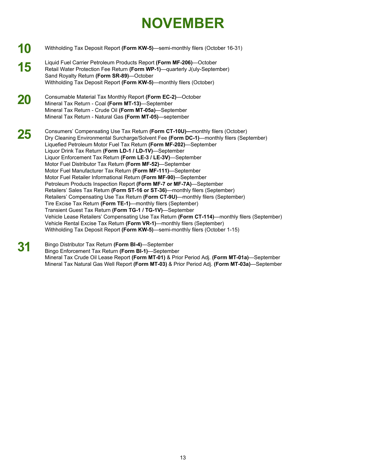## **NOVEMBER**

- **10**  Withholding Tax Deposit Report **(Form KW-5)**—semi-monthly filers (October 16-31)
- **15**  Liquid Fuel Carrier Petroleum Products Report **(Form MF-206)**—October Retail Water Protection Fee Return **(Form WP-1)**—quarterly J(uly-September) Sand Royalty Return **(Form SR-89)**—October Withholding Tax Deposit Report **(Form KW-5)**—monthly filers (October)
- **20**  Consumable Material Tax Monthly Report **(Form EC-2)**—October Mineral Tax Return - Coal **(Form MT-13)**—September Mineral Tax Return - Crude Oil **(Form MT-05a)**—September Mineral Tax Return - Natural Gas **(Form MT-05)**—september

**25**  Consumers' Compensating Use Tax Return **(Form CT-10U)—**monthly filers (October) Dry Cleaning Environmental Surcharge/Solvent Fee **(Form DC-1)**—monthly filers (September) Liquefied Petroleum Motor Fuel Tax Return **(Form MF-202)**—September Liquor Drink Tax Return **(Form LD-1 / LD-1V)**—September Liquor Enforcement Tax Return **(Form LE-3 / LE-3V)**—September Motor Fuel Distributor Tax Return **(Form MF-52)**—September Motor Fuel Manufacturer Tax Return **(Form MF-111)**—September Motor Fuel Retailer Informational Return **(Form MF-90)**—September Petroleum Products Inspection Report **(Form MF-7 or MF-7A)**—September Retailers' Sales Tax Return **(Form ST-16 or ST-36)**—monthly filers (September) Retailers' Compensating Use Tax Return **(Form CT-9U)**—monthly filers (September) Tire Excise Tax Return **(Form TE-1)**—monthly filers (September) Transient Guest Tax Return **(Form TG-1 / TG-1V)**—September Vehicle Lease Retailers' Compensating Use Tax Return **(Form CT-114)**—monthly filers (September) Vehicle Rental Excise Tax Return **(Form VR-1)**—monthly filers (September) Withholding Tax Deposit Report **(Form KW-5)**—semi-monthly filers (October 1-15)

**31**  Bingo Distributor Tax Return **(Form BI-4)**—September Bingo Enforcement Tax Return **(Form BI-1)**—September Mineral Tax Crude Oil Lease Report **(Form MT-01)** & Prior Period Adj. **(Form MT-01a)**—September Mineral Tax Natural Gas Well Report **(Form MT-03)** & Prior Period Adj. **(Form MT-03a)**—September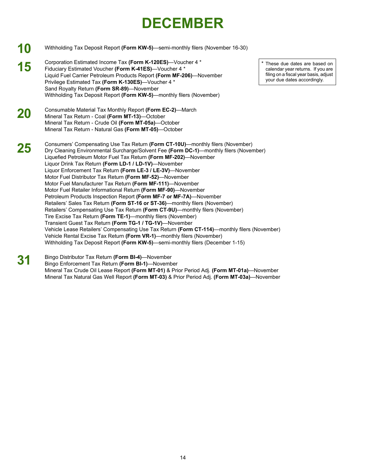## **DECEMBER**

- **10**  Withholding Tax Deposit Report **(Form KW-5)**—semi-monthly filers (November 16-30)
- **15**  Corporation Estimated Income Tax **(Form K-120ES)**—Voucher 4 \* **These due dates are based on**<br>Fiduciary Estimated Voucher **(Form K-41ES)**—Voucher 4 \* **These due dates are based on** Fiduciary Estimated Voucher **(Form K-41ES)**—Voucher 4 \* returns. If you are<br>I jouid Fuel Carrier Petroleum Products Report **(Form MF-206)**—November filing on a fiscal year basis, adjust Liquid Fuel Carrier Petroleum Products Report **(Form MF-206)**—November filing on a fiscal year basis, adjust a filing on a fiscal year basis, and filing on a fiscal year basis, adjust the state of the state of the state of Privilege Estimated Tax (Form K-130ES)—Voucher 4 \* Sand Royalty Return **(Form SR-89)**—November Withholding Tax Deposit Report **(Form KW-5)**—monthly filers (November)
- **20**  Consumable Material Tax Monthly Report **(Form EC-2)**—March Mineral Tax Return - Coal **(Form MT-13)**—October Mineral Tax Return - Crude Oil **(Form MT-05a)**—October Mineral Tax Return - Natural Gas **(Form MT-05)**—October
- **25**  Consumers' Compensating Use Tax Return **(Form CT-10U)**—monthly filers (November) Dry Cleaning Environmental Surcharge/Solvent Fee **(Form DC-1)**—monthly filers (November) Liquefied Petroleum Motor Fuel Tax Return **(Form MF-202)**—November Liquor Drink Tax Return **(Form LD-1 / LD-1V)**—November Liquor Enforcement Tax Return **(Form LE-3 / LE-3V)**—November Motor Fuel Distributor Tax Return **(Form MF-52)**—November Motor Fuel Manufacturer Tax Return **(Form MF-111)**—November Motor Fuel Retailer Informational Return **(Form MF-90)**—November Petroleum Products Inspection Report **(Form MF-7 or MF-7A)**—November Retailers' Sales Tax Return **(Form ST-16 or ST-36)**—monthly filers (November) Retailers' Compensating Use Tax Return **(Form CT-9U)**—monthly filers (November) Tire Excise Tax Return **(Form TE-1)**—monthly filers (November) Transient Guest Tax Return **(Form TG-1 / TG-1V)**—November Vehicle Lease Retailers' Compensating Use Tax Return **(Form CT-114)**—monthly filers (November) Vehicle Rental Excise Tax Return **(Form VR-1)**—monthly filers (November) Withholding Tax Deposit Report **(Form KW-5)**—semi-monthly filers (December 1-15)
- **31**  Bingo Distributor Tax Return **(Form BI-4)**—November Bingo Enforcement Tax Return **(Form BI-1)**—November Mineral Tax Crude Oil Lease Report **(Form MT-01)** & Prior Period Adj. **(Form MT-01a)**—November Mineral Tax Natural Gas Well Report **(Form MT-03)** & Prior Period Adj. **(Form MT-03a)**—November